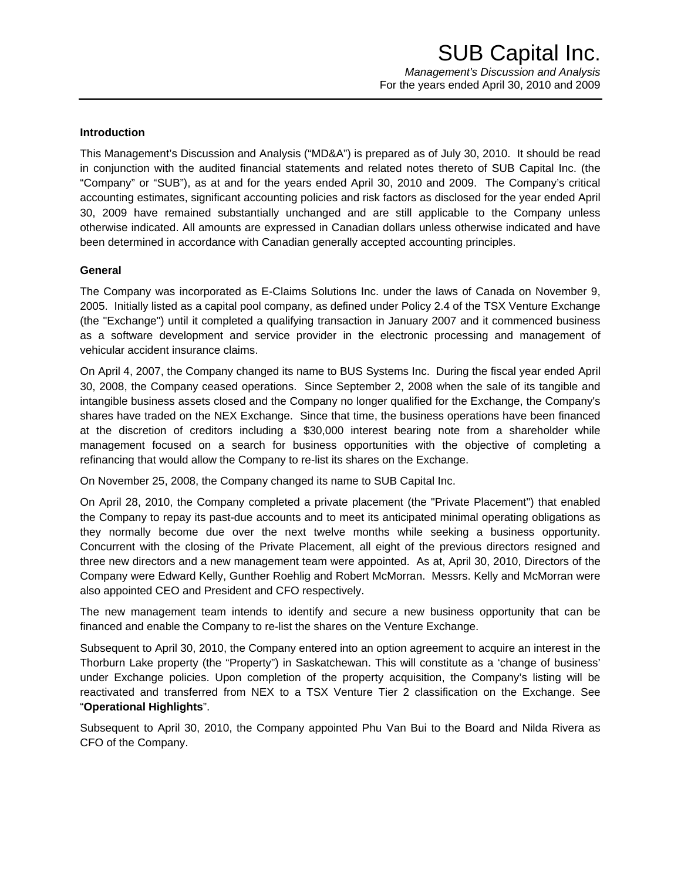## **Introduction**

This Management's Discussion and Analysis ("MD&A") is prepared as of July 30, 2010. It should be read in conjunction with the audited financial statements and related notes thereto of SUB Capital Inc. (the "Company" or "SUB"), as at and for the years ended April 30, 2010 and 2009. The Company's critical accounting estimates, significant accounting policies and risk factors as disclosed for the year ended April 30, 2009 have remained substantially unchanged and are still applicable to the Company unless otherwise indicated. All amounts are expressed in Canadian dollars unless otherwise indicated and have been determined in accordance with Canadian generally accepted accounting principles.

## **General**

The Company was incorporated as E-Claims Solutions Inc. under the laws of Canada on November 9, 2005. Initially listed as a capital pool company, as defined under Policy 2.4 of the TSX Venture Exchange (the "Exchange") until it completed a qualifying transaction in January 2007 and it commenced business as a software development and service provider in the electronic processing and management of vehicular accident insurance claims.

On April 4, 2007, the Company changed its name to BUS Systems Inc. During the fiscal year ended April 30, 2008, the Company ceased operations. Since September 2, 2008 when the sale of its tangible and intangible business assets closed and the Company no longer qualified for the Exchange, the Company's shares have traded on the NEX Exchange. Since that time, the business operations have been financed at the discretion of creditors including a \$30,000 interest bearing note from a shareholder while management focused on a search for business opportunities with the objective of completing a refinancing that would allow the Company to re-list its shares on the Exchange.

On November 25, 2008, the Company changed its name to SUB Capital Inc.

On April 28, 2010, the Company completed a private placement (the "Private Placement") that enabled the Company to repay its past-due accounts and to meet its anticipated minimal operating obligations as they normally become due over the next twelve months while seeking a business opportunity. Concurrent with the closing of the Private Placement, all eight of the previous directors resigned and three new directors and a new management team were appointed. As at, April 30, 2010, Directors of the Company were Edward Kelly, Gunther Roehlig and Robert McMorran. Messrs. Kelly and McMorran were also appointed CEO and President and CFO respectively.

The new management team intends to identify and secure a new business opportunity that can be financed and enable the Company to re-list the shares on the Venture Exchange.

Subsequent to April 30, 2010, the Company entered into an option agreement to acquire an interest in the Thorburn Lake property (the "Property") in Saskatchewan. This will constitute as a 'change of business' under Exchange policies. Upon completion of the property acquisition, the Company's listing will be reactivated and transferred from NEX to a TSX Venture Tier 2 classification on the Exchange. See "**Operational Highlights**".

Subsequent to April 30, 2010, the Company appointed Phu Van Bui to the Board and Nilda Rivera as CFO of the Company.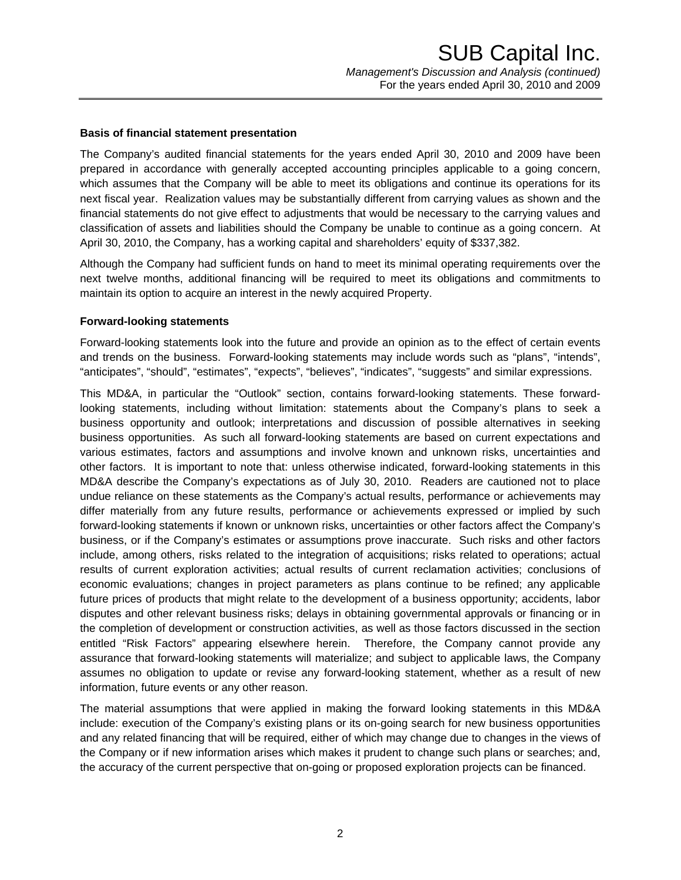## **Basis of financial statement presentation**

The Company's audited financial statements for the years ended April 30, 2010 and 2009 have been prepared in accordance with generally accepted accounting principles applicable to a going concern, which assumes that the Company will be able to meet its obligations and continue its operations for its next fiscal year. Realization values may be substantially different from carrying values as shown and the financial statements do not give effect to adjustments that would be necessary to the carrying values and classification of assets and liabilities should the Company be unable to continue as a going concern. At April 30, 2010, the Company, has a working capital and shareholders' equity of \$337,382.

Although the Company had sufficient funds on hand to meet its minimal operating requirements over the next twelve months, additional financing will be required to meet its obligations and commitments to maintain its option to acquire an interest in the newly acquired Property.

## **Forward-looking statements**

Forward-looking statements look into the future and provide an opinion as to the effect of certain events and trends on the business. Forward-looking statements may include words such as "plans", "intends", "anticipates", "should", "estimates", "expects", "believes", "indicates", "suggests" and similar expressions.

This MD&A, in particular the "Outlook" section, contains forward-looking statements. These forwardlooking statements, including without limitation: statements about the Company's plans to seek a business opportunity and outlook; interpretations and discussion of possible alternatives in seeking business opportunities. As such all forward-looking statements are based on current expectations and various estimates, factors and assumptions and involve known and unknown risks, uncertainties and other factors. It is important to note that: unless otherwise indicated, forward-looking statements in this MD&A describe the Company's expectations as of July 30, 2010. Readers are cautioned not to place undue reliance on these statements as the Company's actual results, performance or achievements may differ materially from any future results, performance or achievements expressed or implied by such forward-looking statements if known or unknown risks, uncertainties or other factors affect the Company's business, or if the Company's estimates or assumptions prove inaccurate. Such risks and other factors include, among others, risks related to the integration of acquisitions; risks related to operations; actual results of current exploration activities; actual results of current reclamation activities; conclusions of economic evaluations; changes in project parameters as plans continue to be refined; any applicable future prices of products that might relate to the development of a business opportunity; accidents, labor disputes and other relevant business risks; delays in obtaining governmental approvals or financing or in the completion of development or construction activities, as well as those factors discussed in the section entitled "Risk Factors" appearing elsewhere herein. Therefore, the Company cannot provide any assurance that forward-looking statements will materialize; and subject to applicable laws, the Company assumes no obligation to update or revise any forward-looking statement, whether as a result of new information, future events or any other reason.

The material assumptions that were applied in making the forward looking statements in this MD&A include: execution of the Company's existing plans or its on-going search for new business opportunities and any related financing that will be required, either of which may change due to changes in the views of the Company or if new information arises which makes it prudent to change such plans or searches; and, the accuracy of the current perspective that on-going or proposed exploration projects can be financed.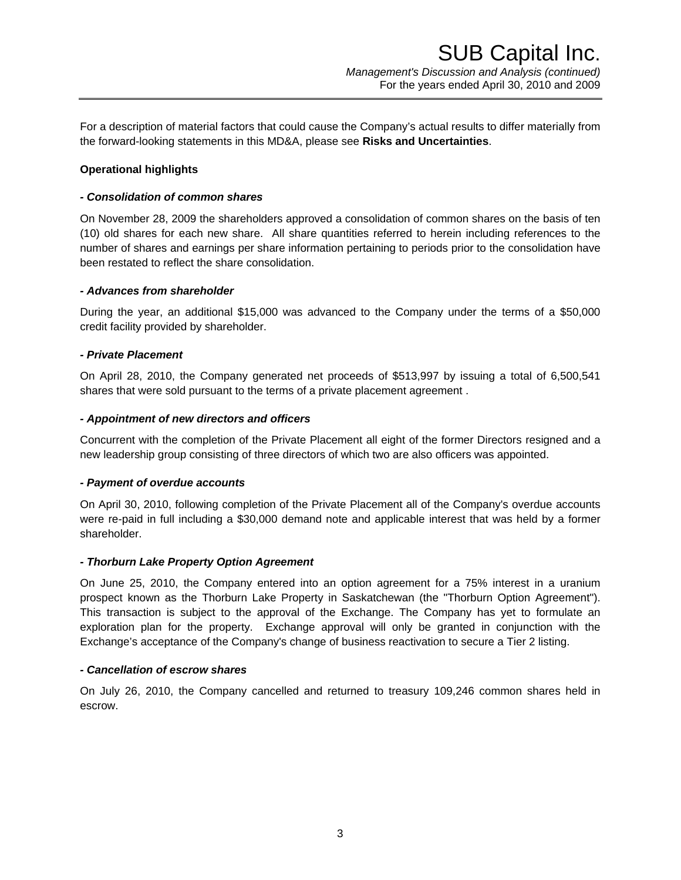For a description of material factors that could cause the Company's actual results to differ materially from the forward-looking statements in this MD&A, please see **Risks and Uncertainties**.

# **Operational highlights**

## *- Consolidation of common shares*

On November 28, 2009 the shareholders approved a consolidation of common shares on the basis of ten (10) old shares for each new share. All share quantities referred to herein including references to the number of shares and earnings per share information pertaining to periods prior to the consolidation have been restated to reflect the share consolidation.

## *- Advances from shareholder*

During the year, an additional \$15,000 was advanced to the Company under the terms of a \$50,000 credit facility provided by shareholder.

## *- Private Placement*

On April 28, 2010, the Company generated net proceeds of \$513,997 by issuing a total of 6,500,541 shares that were sold pursuant to the terms of a private placement agreement .

## *- Appointment of new directors and officers*

Concurrent with the completion of the Private Placement all eight of the former Directors resigned and a new leadership group consisting of three directors of which two are also officers was appointed.

### *- Payment of overdue accounts*

On April 30, 2010, following completion of the Private Placement all of the Company's overdue accounts were re-paid in full including a \$30,000 demand note and applicable interest that was held by a former shareholder.

# *- Thorburn Lake Property Option Agreement*

On June 25, 2010, the Company entered into an option agreement for a 75% interest in a uranium prospect known as the Thorburn Lake Property in Saskatchewan (the "Thorburn Option Agreement"). This transaction is subject to the approval of the Exchange. The Company has yet to formulate an exploration plan for the property. Exchange approval will only be granted in conjunction with the Exchange's acceptance of the Company's change of business reactivation to secure a Tier 2 listing.

### *- Cancellation of escrow shares*

On July 26, 2010, the Company cancelled and returned to treasury 109,246 common shares held in escrow.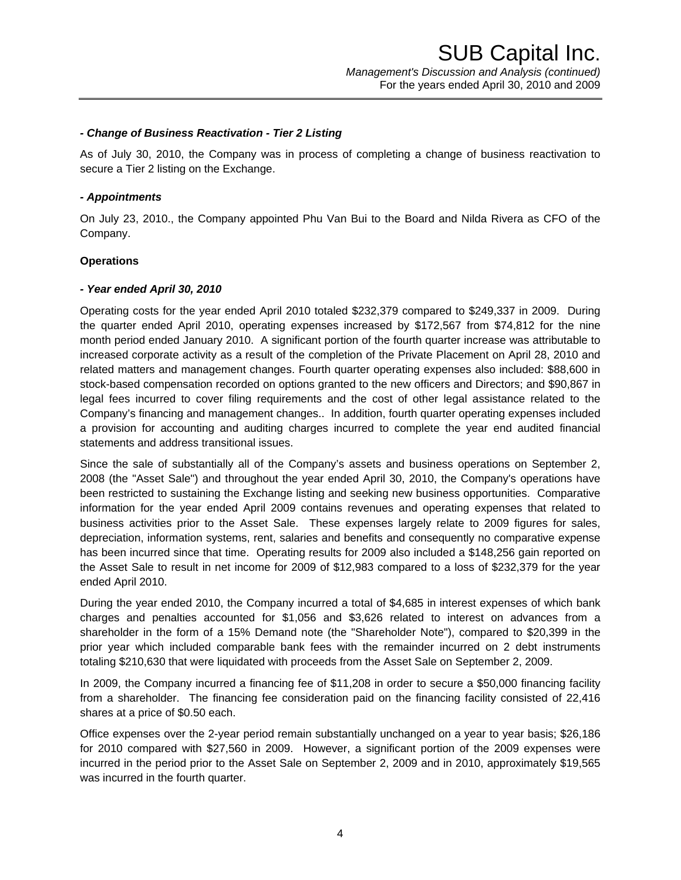### *- Change of Business Reactivation - Tier 2 Listing*

As of July 30, 2010, the Company was in process of completing a change of business reactivation to secure a Tier 2 listing on the Exchange.

### *- Appointments*

On July 23, 2010., the Company appointed Phu Van Bui to the Board and Nilda Rivera as CFO of the Company.

### **Operations**

### *- Year ended April 30, 2010*

Operating costs for the year ended April 2010 totaled \$232,379 compared to \$249,337 in 2009. During the quarter ended April 2010, operating expenses increased by \$172,567 from \$74,812 for the nine month period ended January 2010. A significant portion of the fourth quarter increase was attributable to increased corporate activity as a result of the completion of the Private Placement on April 28, 2010 and related matters and management changes. Fourth quarter operating expenses also included: \$88,600 in stock-based compensation recorded on options granted to the new officers and Directors; and \$90,867 in legal fees incurred to cover filing requirements and the cost of other legal assistance related to the Company's financing and management changes.. In addition, fourth quarter operating expenses included a provision for accounting and auditing charges incurred to complete the year end audited financial statements and address transitional issues.

Since the sale of substantially all of the Company's assets and business operations on September 2, 2008 (the "Asset Sale") and throughout the year ended April 30, 2010, the Company's operations have been restricted to sustaining the Exchange listing and seeking new business opportunities. Comparative information for the year ended April 2009 contains revenues and operating expenses that related to business activities prior to the Asset Sale. These expenses largely relate to 2009 figures for sales, depreciation, information systems, rent, salaries and benefits and consequently no comparative expense has been incurred since that time. Operating results for 2009 also included a \$148,256 gain reported on the Asset Sale to result in net income for 2009 of \$12,983 compared to a loss of \$232,379 for the year ended April 2010.

During the year ended 2010, the Company incurred a total of \$4,685 in interest expenses of which bank charges and penalties accounted for \$1,056 and \$3,626 related to interest on advances from a shareholder in the form of a 15% Demand note (the "Shareholder Note"), compared to \$20,399 in the prior year which included comparable bank fees with the remainder incurred on 2 debt instruments totaling \$210,630 that were liquidated with proceeds from the Asset Sale on September 2, 2009.

In 2009, the Company incurred a financing fee of \$11,208 in order to secure a \$50,000 financing facility from a shareholder. The financing fee consideration paid on the financing facility consisted of 22,416 shares at a price of \$0.50 each.

Office expenses over the 2-year period remain substantially unchanged on a year to year basis; \$26,186 for 2010 compared with \$27,560 in 2009. However, a significant portion of the 2009 expenses were incurred in the period prior to the Asset Sale on September 2, 2009 and in 2010, approximately \$19,565 was incurred in the fourth quarter.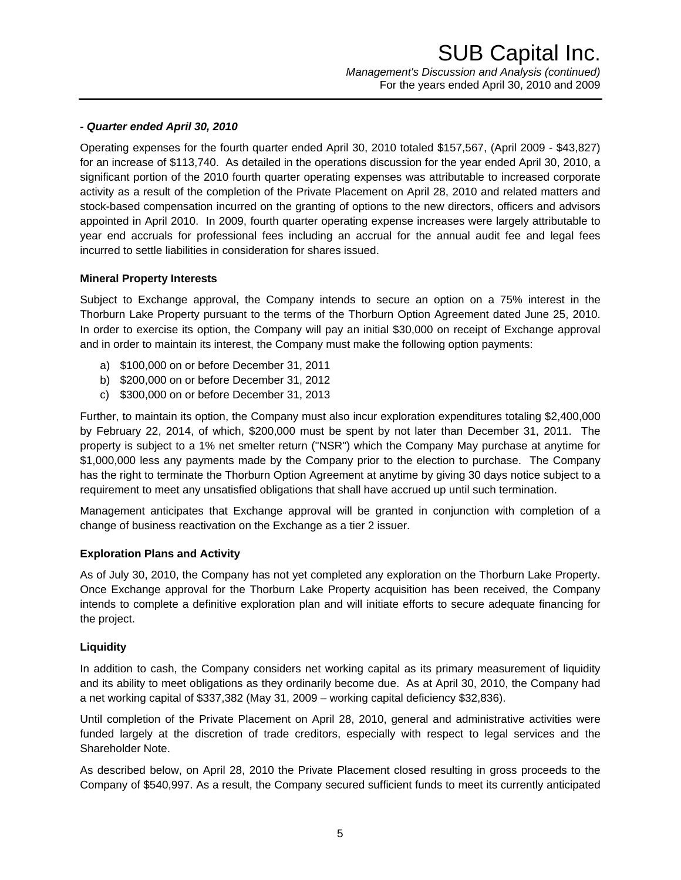# *- Quarter ended April 30, 2010*

Operating expenses for the fourth quarter ended April 30, 2010 totaled \$157,567, (April 2009 - \$43,827) for an increase of \$113,740. As detailed in the operations discussion for the year ended April 30, 2010, a significant portion of the 2010 fourth quarter operating expenses was attributable to increased corporate activity as a result of the completion of the Private Placement on April 28, 2010 and related matters and stock-based compensation incurred on the granting of options to the new directors, officers and advisors appointed in April 2010. In 2009, fourth quarter operating expense increases were largely attributable to year end accruals for professional fees including an accrual for the annual audit fee and legal fees incurred to settle liabilities in consideration for shares issued.

## **Mineral Property Interests**

Subject to Exchange approval, the Company intends to secure an option on a 75% interest in the Thorburn Lake Property pursuant to the terms of the Thorburn Option Agreement dated June 25, 2010. In order to exercise its option, the Company will pay an initial \$30,000 on receipt of Exchange approval and in order to maintain its interest, the Company must make the following option payments:

- a) \$100,000 on or before December 31, 2011
- b) \$200,000 on or before December 31, 2012
- c) \$300,000 on or before December 31, 2013

Further, to maintain its option, the Company must also incur exploration expenditures totaling \$2,400,000 by February 22, 2014, of which, \$200,000 must be spent by not later than December 31, 2011. The property is subject to a 1% net smelter return ("NSR") which the Company May purchase at anytime for \$1,000,000 less any payments made by the Company prior to the election to purchase. The Company has the right to terminate the Thorburn Option Agreement at anytime by giving 30 days notice subject to a requirement to meet any unsatisfied obligations that shall have accrued up until such termination.

Management anticipates that Exchange approval will be granted in conjunction with completion of a change of business reactivation on the Exchange as a tier 2 issuer.

### **Exploration Plans and Activity**

As of July 30, 2010, the Company has not yet completed any exploration on the Thorburn Lake Property. Once Exchange approval for the Thorburn Lake Property acquisition has been received, the Company intends to complete a definitive exploration plan and will initiate efforts to secure adequate financing for the project.

## **Liquidity**

In addition to cash, the Company considers net working capital as its primary measurement of liquidity and its ability to meet obligations as they ordinarily become due. As at April 30, 2010, the Company had a net working capital of \$337,382 (May 31, 2009 – working capital deficiency \$32,836).

Until completion of the Private Placement on April 28, 2010, general and administrative activities were funded largely at the discretion of trade creditors, especially with respect to legal services and the Shareholder Note.

As described below, on April 28, 2010 the Private Placement closed resulting in gross proceeds to the Company of \$540,997. As a result, the Company secured sufficient funds to meet its currently anticipated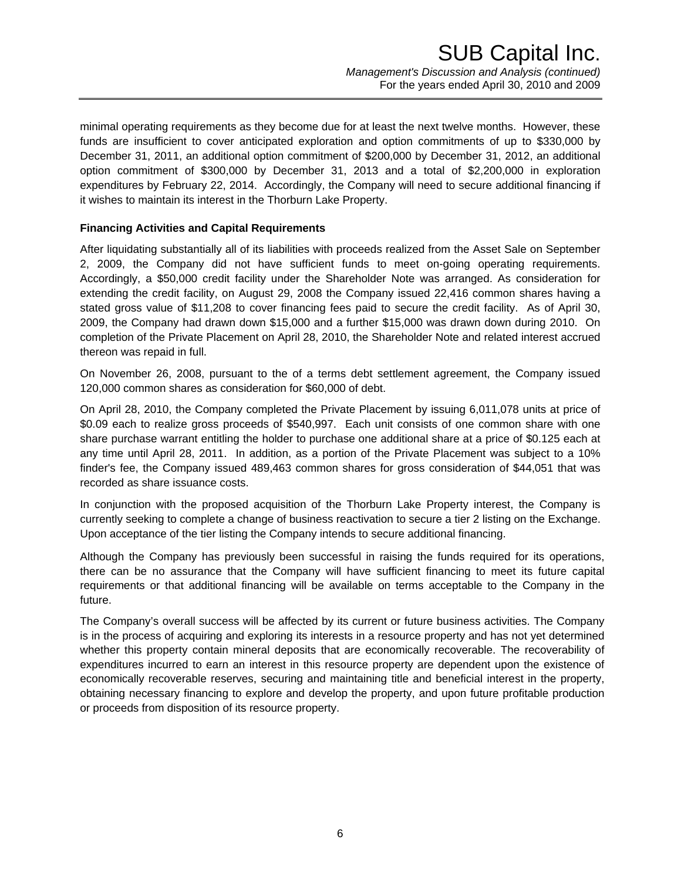minimal operating requirements as they become due for at least the next twelve months. However, these funds are insufficient to cover anticipated exploration and option commitments of up to \$330,000 by December 31, 2011, an additional option commitment of \$200,000 by December 31, 2012, an additional option commitment of \$300,000 by December 31, 2013 and a total of \$2,200,000 in exploration expenditures by February 22, 2014. Accordingly, the Company will need to secure additional financing if it wishes to maintain its interest in the Thorburn Lake Property.

# **Financing Activities and Capital Requirements**

After liquidating substantially all of its liabilities with proceeds realized from the Asset Sale on September 2, 2009, the Company did not have sufficient funds to meet on-going operating requirements. Accordingly, a \$50,000 credit facility under the Shareholder Note was arranged. As consideration for extending the credit facility, on August 29, 2008 the Company issued 22,416 common shares having a stated gross value of \$11,208 to cover financing fees paid to secure the credit facility. As of April 30, 2009, the Company had drawn down \$15,000 and a further \$15,000 was drawn down during 2010. On completion of the Private Placement on April 28, 2010, the Shareholder Note and related interest accrued thereon was repaid in full.

On November 26, 2008, pursuant to the of a terms debt settlement agreement, the Company issued 120,000 common shares as consideration for \$60,000 of debt.

On April 28, 2010, the Company completed the Private Placement by issuing 6,011,078 units at price of \$0.09 each to realize gross proceeds of \$540,997. Each unit consists of one common share with one share purchase warrant entitling the holder to purchase one additional share at a price of \$0.125 each at any time until April 28, 2011. In addition, as a portion of the Private Placement was subject to a 10% finder's fee, the Company issued 489,463 common shares for gross consideration of \$44,051 that was recorded as share issuance costs.

In conjunction with the proposed acquisition of the Thorburn Lake Property interest, the Company is currently seeking to complete a change of business reactivation to secure a tier 2 listing on the Exchange. Upon acceptance of the tier listing the Company intends to secure additional financing.

Although the Company has previously been successful in raising the funds required for its operations, there can be no assurance that the Company will have sufficient financing to meet its future capital requirements or that additional financing will be available on terms acceptable to the Company in the future.

The Company's overall success will be affected by its current or future business activities. The Company is in the process of acquiring and exploring its interests in a resource property and has not yet determined whether this property contain mineral deposits that are economically recoverable. The recoverability of expenditures incurred to earn an interest in this resource property are dependent upon the existence of economically recoverable reserves, securing and maintaining title and beneficial interest in the property, obtaining necessary financing to explore and develop the property, and upon future profitable production or proceeds from disposition of its resource property.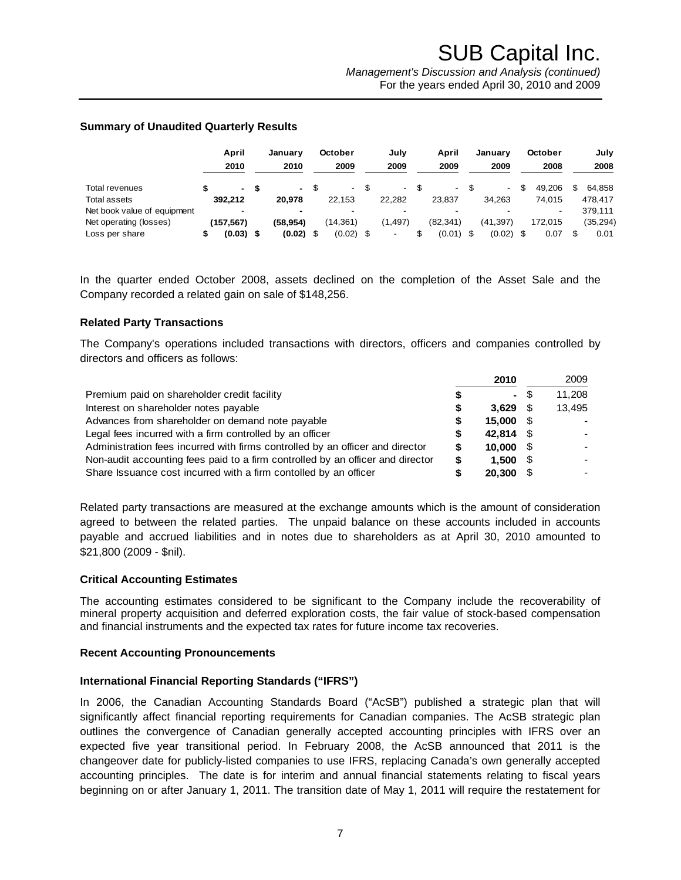### **Summary of Unaudited Quarterly Results**

|                             | April<br>2010            |      | Januarv<br>2010 | October<br>2009 | July<br>2009             | April<br>2009 |      | Januarv<br>2009 | October<br>2008 | July<br>2008 |
|-----------------------------|--------------------------|------|-----------------|-----------------|--------------------------|---------------|------|-----------------|-----------------|--------------|
| Total revenues              | ۰.                       | - \$ | $\sim$          | $\blacksquare$  | $\overline{\phantom{a}}$ |               |      |                 | 49.206          | \$<br>64.858 |
| <b>Total assets</b>         | 392.212                  |      | 20.978          | 22.153          | 22.282                   | 23.837        |      | 34.263          | 74.015          | 478.417      |
| Net book value of equipment | $\overline{\phantom{0}}$ |      | $\blacksquare$  |                 |                          |               |      |                 |                 | 379.111      |
| Net operating (losses)      | (157,567)                |      | (58.954)        | (14, 361)       | (1, 497)                 | (82.341)      |      | (41.397)        | 172.015         | (35, 294)    |
| Loss per share              | $(0.03)$ \$              |      | $(0.02)$ \$     | $(0.02)$ \$     |                          | (0.01)        | - \$ | (0.02)          | 0.07            | 0.01         |

In the quarter ended October 2008, assets declined on the completion of the Asset Sale and the Company recorded a related gain on sale of \$148,256.

### **Related Party Transactions**

The Company's operations included transactions with directors, officers and companies controlled by directors and officers as follows:

|                                                                                | 2010           |      | 2009   |
|--------------------------------------------------------------------------------|----------------|------|--------|
| Premium paid on shareholder credit facility                                    | $\blacksquare$ | - \$ | 11.208 |
| Interest on shareholder notes payable                                          | 3.629          |      | 13,495 |
| Advances from shareholder on demand note payable                               | 15.000         | - \$ |        |
| Legal fees incurred with a firm controlled by an officer                       | 42.814         |      |        |
| Administration fees incurred with firms controlled by an officer and director  | 10.000         | - \$ |        |
| Non-audit accounting fees paid to a firm controlled by an officer and director | 1.500          | - \$ |        |
| Share Issuance cost incurred with a firm contolled by an officer               | 20,300         |      |        |

Related party transactions are measured at the exchange amounts which is the amount of consideration agreed to between the related parties. The unpaid balance on these accounts included in accounts payable and accrued liabilities and in notes due to shareholders as at April 30, 2010 amounted to \$21,800 (2009 - \$nil).

### **Critical Accounting Estimates**

The accounting estimates considered to be significant to the Company include the recoverability of mineral property acquisition and deferred exploration costs, the fair value of stock-based compensation and financial instruments and the expected tax rates for future income tax recoveries.

#### **Recent Accounting Pronouncements**

### **International Financial Reporting Standards ("IFRS")**

In 2006, the Canadian Accounting Standards Board ("AcSB") published a strategic plan that will significantly affect financial reporting requirements for Canadian companies. The AcSB strategic plan outlines the convergence of Canadian generally accepted accounting principles with IFRS over an expected five year transitional period. In February 2008, the AcSB announced that 2011 is the changeover date for publicly-listed companies to use IFRS, replacing Canada's own generally accepted accounting principles. The date is for interim and annual financial statements relating to fiscal years beginning on or after January 1, 2011. The transition date of May 1, 2011 will require the restatement for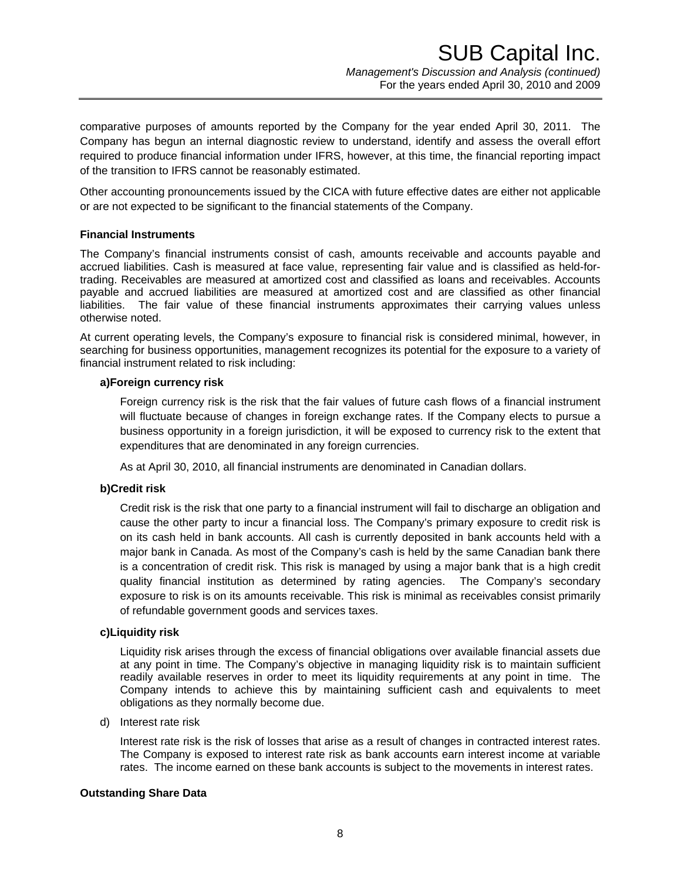comparative purposes of amounts reported by the Company for the year ended April 30, 2011. The Company has begun an internal diagnostic review to understand, identify and assess the overall effort required to produce financial information under IFRS, however, at this time, the financial reporting impact of the transition to IFRS cannot be reasonably estimated.

Other accounting pronouncements issued by the CICA with future effective dates are either not applicable or are not expected to be significant to the financial statements of the Company.

## **Financial Instruments**

The Company's financial instruments consist of cash, amounts receivable and accounts payable and accrued liabilities. Cash is measured at face value, representing fair value and is classified as held-fortrading. Receivables are measured at amortized cost and classified as loans and receivables. Accounts payable and accrued liabilities are measured at amortized cost and are classified as other financial liabilities. The fair value of these financial instruments approximates their carrying values unless otherwise noted.

At current operating levels, the Company's exposure to financial risk is considered minimal, however, in searching for business opportunities, management recognizes its potential for the exposure to a variety of financial instrument related to risk including:

### **a)Foreign currency risk**

Foreign currency risk is the risk that the fair values of future cash flows of a financial instrument will fluctuate because of changes in foreign exchange rates. If the Company elects to pursue a business opportunity in a foreign jurisdiction, it will be exposed to currency risk to the extent that expenditures that are denominated in any foreign currencies.

As at April 30, 2010, all financial instruments are denominated in Canadian dollars.

# **b)Credit risk**

Credit risk is the risk that one party to a financial instrument will fail to discharge an obligation and cause the other party to incur a financial loss. The Company's primary exposure to credit risk is on its cash held in bank accounts. All cash is currently deposited in bank accounts held with a major bank in Canada. As most of the Company's cash is held by the same Canadian bank there is a concentration of credit risk. This risk is managed by using a major bank that is a high credit quality financial institution as determined by rating agencies. The Company's secondary exposure to risk is on its amounts receivable. This risk is minimal as receivables consist primarily of refundable government goods and services taxes.

### **c)Liquidity risk**

Liquidity risk arises through the excess of financial obligations over available financial assets due at any point in time. The Company's objective in managing liquidity risk is to maintain sufficient readily available reserves in order to meet its liquidity requirements at any point in time. The Company intends to achieve this by maintaining sufficient cash and equivalents to meet obligations as they normally become due.

d) Interest rate risk

Interest rate risk is the risk of losses that arise as a result of changes in contracted interest rates. The Company is exposed to interest rate risk as bank accounts earn interest income at variable rates. The income earned on these bank accounts is subject to the movements in interest rates.

### **Outstanding Share Data**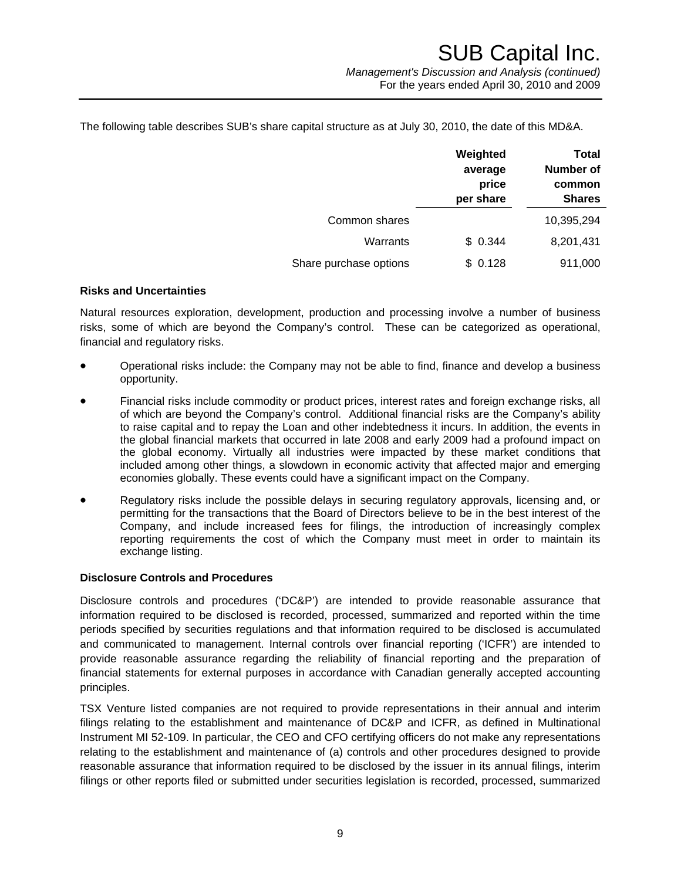The following table describes SUB's share capital structure as at July 30, 2010, the date of this MD&A.

|                        | Weighted<br>average<br>price<br>per share | <b>Total</b><br><b>Number of</b><br>common<br><b>Shares</b> |  |  |  |
|------------------------|-------------------------------------------|-------------------------------------------------------------|--|--|--|
| Common shares          |                                           | 10,395,294                                                  |  |  |  |
| Warrants               | \$0.344                                   | 8,201,431                                                   |  |  |  |
| Share purchase options | 0.128                                     | 911,000                                                     |  |  |  |

### **Risks and Uncertainties**

Natural resources exploration, development, production and processing involve a number of business risks, some of which are beyond the Company's control. These can be categorized as operational, financial and regulatory risks.

- Operational risks include: the Company may not be able to find, finance and develop a business opportunity.
- Financial risks include commodity or product prices, interest rates and foreign exchange risks, all of which are beyond the Company's control. Additional financial risks are the Company's ability to raise capital and to repay the Loan and other indebtedness it incurs. In addition, the events in the global financial markets that occurred in late 2008 and early 2009 had a profound impact on the global economy. Virtually all industries were impacted by these market conditions that included among other things, a slowdown in economic activity that affected major and emerging economies globally. These events could have a significant impact on the Company.
- Regulatory risks include the possible delays in securing regulatory approvals, licensing and, or permitting for the transactions that the Board of Directors believe to be in the best interest of the Company, and include increased fees for filings, the introduction of increasingly complex reporting requirements the cost of which the Company must meet in order to maintain its exchange listing.

### **Disclosure Controls and Procedures**

Disclosure controls and procedures ('DC&P') are intended to provide reasonable assurance that information required to be disclosed is recorded, processed, summarized and reported within the time periods specified by securities regulations and that information required to be disclosed is accumulated and communicated to management. Internal controls over financial reporting ('ICFR') are intended to provide reasonable assurance regarding the reliability of financial reporting and the preparation of financial statements for external purposes in accordance with Canadian generally accepted accounting principles.

TSX Venture listed companies are not required to provide representations in their annual and interim filings relating to the establishment and maintenance of DC&P and ICFR, as defined in Multinational Instrument MI 52-109. In particular, the CEO and CFO certifying officers do not make any representations relating to the establishment and maintenance of (a) controls and other procedures designed to provide reasonable assurance that information required to be disclosed by the issuer in its annual filings, interim filings or other reports filed or submitted under securities legislation is recorded, processed, summarized